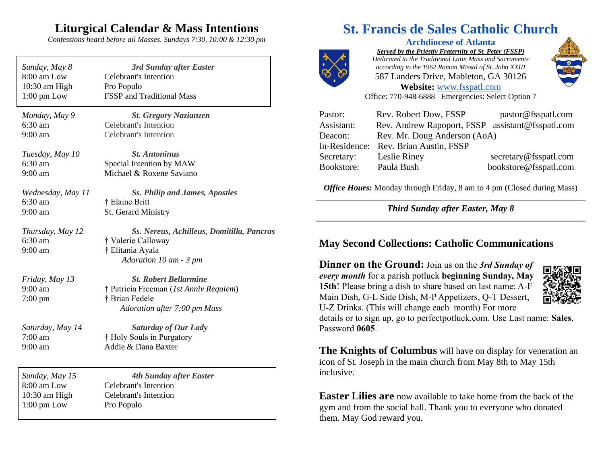# **Liturgical Calendar & Mass Intentions**

*Confessions heard before all Masses. Sundays 7:30, 10:00 & 12:30 pm*

| Sunday, May 8<br>8:00 am Low<br>10:30 am High<br>$1:00$ pm Low | 3rd Sunday after Easter<br><b>Celebrant's Intention</b><br>Pro Populo<br><b>FSSP</b> and Traditional Mass |
|----------------------------------------------------------------|-----------------------------------------------------------------------------------------------------------|
| Monday, May 9                                                  | <b>St. Gregory Nazianzen</b>                                                                              |
| 6:30 am<br>$9:00$ am                                           | <b>Celebrant's Intention</b><br><b>Celebrant's Intention</b>                                              |
| Tuesday, May 10                                                | <b>St. Antoninus</b>                                                                                      |
| $6:30$ am<br>$9:00$ am                                         | Special Intention by MAW<br>Michael & Roxene Saviano                                                      |
| Wednesday, May 11                                              | <b>Ss. Philip and James, Apostles</b>                                                                     |
| 6:30 am<br>$9:00$ am                                           | † Elaine Britt<br>St. Gerard Ministry                                                                     |
|                                                                |                                                                                                           |
| Thursday, May 12                                               | Ss. Nereus, Achilleus, Domitilla, Pancras                                                                 |
| 6:30 am                                                        | † Valerie Calloway                                                                                        |
| $9:00$ am                                                      | † Elitania Ayala<br>Adoration 10 am - 3 pm                                                                |
| Friday, May 13                                                 | <b>St. Robert Bellarmine</b>                                                                              |
| $9:00$ am                                                      | † Patricia Freeman (1st Anniv Requiem)                                                                    |
| $7:00$ pm                                                      | † Brian Fedele                                                                                            |
|                                                                | Adoration after 7:00 pm Mass                                                                              |
| Saturday, May 14                                               | <b>Saturday of Our Lady</b>                                                                               |
| $7:00$ am                                                      | † Holy Souls in Purgatory                                                                                 |
| $9:00$ am                                                      | Addie & Dana Baxter                                                                                       |
| Sunday, May 15                                                 | <b>4th Sunday after Easter</b>                                                                            |
| 8:00 am Low                                                    | <b>Celebrant's Intention</b>                                                                              |
| 10:30 am High                                                  | <b>Celebrant's Intention</b>                                                                              |
| $1:00 \text{ pm}$ Low                                          | Pro Populo                                                                                                |

# **St. Francis de Sales Catholic Church**

**Archdiocese of Atlanta** *Served by the Priestly Fraternity of St. Peter (FSSP) Dedicated to the Traditional Latin Mass and Sacraments according to the 1962 Roman Missal of St. John XXIII* 587 Landers Drive, Mableton, GA 30126 **Website:** [www.fsspatl.com](http://www.fsspatl.com/)



Office: 770-948-6888 Emergencies: Select Option 7

| Pastor:    | Rev. Robert Dow, FSSP                            | pastor@fsspatl.com    |
|------------|--------------------------------------------------|-----------------------|
| Assistant: | Rev. Andrew Rapoport, FSSP assistant@fsspatl.com |                       |
| Deacon:    | Rev. Mr. Doug Anderson (AoA)                     |                       |
|            | In-Residence: Rev. Brian Austin, FSSP            |                       |
| Secretary: | Leslie Riney                                     | secretary@fsspatl.com |
| Bookstore: | Paula Bush                                       | bookstore@fsspatl.com |

*Office Hours:* Monday through Friday, 8 am to 4 pm (Closed during Mass)

*Third Sunday after Easter, May 8*

### **May Second Collections: Catholic Communications**

**Dinner on the Ground:** Join us on the *3rd Sunday of every month* for a parish potluck **beginning Sunday, May 15th**! Please bring a dish to share based on last name: A-F Main Dish, G-L Side Dish, M-P Appetizers, Q-T Dessert, U-Z Drinks. (This will change each month) For more



details or to sign up, go to perfectpotluck.com. Use Last name: **Sales**, Password **0605**.

**The Knights of Columbus** will have on display for veneration an icon of St. Joseph in the main church from May 8th to May 15th inclusive.

**Easter Lilies are** now available to take home from the back of the gym and from the social hall. Thank you to everyone who donated them. May God reward you.